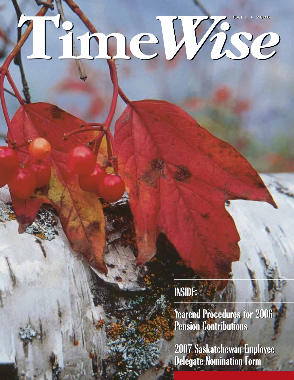# **Time***Wise* **FALL • 2006 FALL • 2006**

**INSIDE: INSIDE:**

**Yearend Procedures for 2006 Yearend Procedures for 2006 Pension Contributions Pension Contributions**

**2007 Saskatchewan Employee Delegate Nomination Form 2007 Saskatchewan Employee Delegate Nomination Form**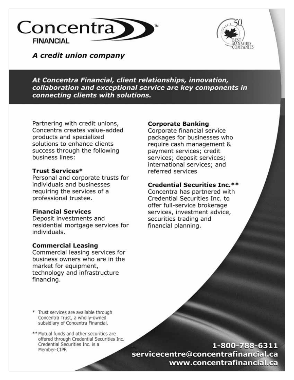



A credit union company

At Concentra Financial, client relationships, innovation, collaboration and exceptional service are key components in connecting clients with solutions.

Partnering with credit unions, Concentra creates value-added products and specialized solutions to enhance clients success through the following business lines:

### **Trust Services\***

Personal and corporate trusts for individuals and businesses requiring the services of a professional trustee.

### **Financial Services**

Deposit investments and residential mortgage services for individuals.

#### **Commercial Leasing**

Commercial leasing services for business owners who are in the market for equipment, technology and infrastructure financing.

### **Corporate Banking**

Corporate financial service packages for businesses who require cash management & payment services; credit services; deposit services; international services; and referred services

### **Credential Securities Inc.\*\***

Concentra has partnered with Credential Securities Inc. to offer full-service brokerage services, investment advice, securities trading and financial planning.

\* Trust services are available through Concentra Trust, a wholly-owned subsidiary of Concentra Financial.

\*\* Mutual funds and other securities are offered through Credential Securities Inc. Credential Securities Inc. is a Member-CIPF.

1-800-788-6311 servicecentre@concentrafinancial.ca www.concentrafinancial.ca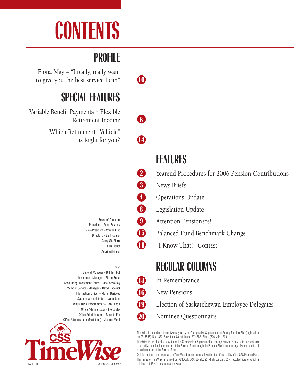# **CONTENTS**

# **PROFILE**

Fiona May – "I really, really want to give you the best service I can" **10 SPECIAL FEATURES** Variable Benefit Payments = Flexible Retirement Income **6** Which Retirement "Vehicle" is Right for you? **14 FEATURES 2** Yearend Procedures for 2006 Pension Contributions **3** News Briefs

> Board of Directors President – Peter Zakreski Vice-President – Wayne King Directors – Earl Hanson Gerry St. Pierre Laura Vance Audri Wilkinson

#### **Staff**

General Manager – Bill Turnbull Investment Manager – Eldon Braun Accounting/Investment Officer – Joel Sawatsky Member Services Manager – David Kapeluck Information Officer – Muriel Baribeau Systems Administrator – Vaun John Visual Basic Programmer – Rob Peddle Office Administrator – Fiona May Office Administrator – Rhonda Ens Office Administrator (Part-time) – Joanne Monk



- 
- **4** Operations Update
- **8** Legislation Update
- **9** Attention Pensioners!
- **15** Balanced Fund Benchmark Change
- **18** "I Know That!" Contest

**REGULAR COLUMNS**

- **13** In Remembrance
- **16** New Pensions

**19** Election of Saskatchewan Employee Delegates

**20** Nominee Questionnaire

TimeWise is published at least twice a year by the Co-operative Superannuation Society Pension Plan (registration no. 0345868), Box 1850, Saskatoon, Saskatchewan S7K 3S2. Phone (306) 244-1539.

TimeWise is the official publication of the Co-operative Superannuation Society Pension Plan and is provided free to all active contributing members of the Pension Plan through the Pension Plan's member organizations and to all retired members of the Pension Plan.

Opinion and comment expressed in TimeWise does not necessarily reflect the official policy of the CSS Pension Plan. This issue of TimeWise is printed on RESOLVE COATED GLOSS which contains 50% recycled fibre of which a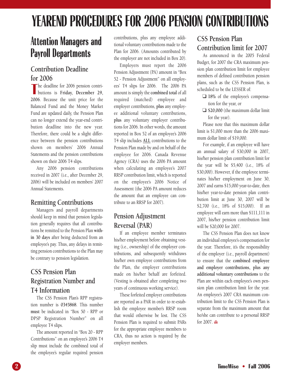# **YEAREND PROCEDURES FOR 2006 PENSION CONTRIBUTIONS**

# **Attention Managers and Payroll Departments**

# **Contribution Deadline for 2006**

The deadline for 2006 pension contri-<br>butions is **Friday**, December 29, The deadline for 2006 pension contri-**2006**. Because the unit price for the Balanced Fund and the Money Market Fund are updated daily, the Pension Plan can no longer extend the year-end contribution deadline into the new year. Therefore, there could be a slight difference between the pension contributions shown on members' 2006 Annual Statements and the pension contributions shown on their 2006 T4 slips.

Any 2006 pension contributions received in 2007 (i.e., after December 29, 2006) will be included on members' 2007 Annual Statements.

# **Remitting Contributions**

Managers and payroll departments should keep in mind that pension legislation generally requires that all contributions be remitted to the Pension Plan **within 30 days** after being deducted from an employee's pay. Thus, any delays in remitting pension contributions to the Plan may be contrary to pension legislation.

# **CSS Pension Plan Registration Number and T4 Information**

The CSS Pension Plan's RPP registration number is **0345868**. This number **must** be indicated in "Box 50 - RPP or DPSP Registration Number" on all employee T4 slips.

The amount reported in "Box 20 - RPP Contributions" on an employee's 2006 T4 slip must include the combined total of the employee's regular required pension contributions, plus any employee additional voluntary contributions made to the Plan for 2006. (Amounts contributed by the employer are not included in Box 20).

Employers must report the 2006 Pension Adjustment (PA) amount in "Box 52 - Pension Adjustment" on all employees' T4 slips for 2006. The 2006 PA amount is simply the **combined total** of all required (matched) employee and employer contributions, **plus** any employee additional voluntary contributions, **plus** any voluntary employer contributions for 2006. In other words, the amount reported in Box 52 of an employee's 2006 T4 slip includes **ALL** contributions to the Pension Plan made by and on behalf of the employee for 2006. Canada Revenue Agency (CRA) uses the 2006 PA amount when calculating an employee's 2007 RRSP contribution limit, which is reported on the employee's 2006 Notice of Assessment (the 2006 PA amount reduces the amount that an employee can contribute to an RRSP for 2007).

# **Pension Adjustment Reversal (PAR)**

If an employee member terminates his/her employment before obtaining vesting (i.e., ownership) of the employer contributions, and subsequently withdraws his/her own employee contributions from the Plan, the employer contributions made on his/her behalf are forfeited. (Vesting is obtained after completing two years of continuous working service).

These forfeited employer contributions are reported as a PAR in order to re-establish the employee member's RRSP room that would otherwise be lost. The CSS Pension Plan is required to submit PARs for the appropriate employee members to CRA, thus no action is required by the employer members.

# **CSS Pension Plan Contribution limit for 2007**

As announced in the 2005 Federal Budget, for 2007 the CRA maximum pension plan contribution limit for employee members of defined contribution pension plans, such as the CSS Pension Plan, is scheduled to be the LESSER of:

- ❑ **18%** of the employee's compensation for the year, or
- ❑ **\$20,000** (the maximum dollar limit for the year).

Please note that this maximum dollar limit is \$1,000 more than the 2006 maximum dollar limit of \$19,000.

For example, if an employee will have an annual salary of \$30,000 in 2007, his/her pension plan contribution limit for the year will be \$5,400 (i.e., 18% of \$30,000). However, if the employee terminates his/her employment on June 30, 2007 and earns \$15,000 year-to-date, then his/her year-to-date pension plan contribution limit at June 30, 2007 will be \$2,700 (i.e., 18% of \$15,000). If an employee will earn more than \$111,111 in 2007, his/her pension contribution limit will be \$20,000 for 2007.

The CSS Pension Plan does not know an individual employee's compensation for the year. Therefore, it's the responsibility of the employer (i.e., payroll department) to ensure that the **combined employee and employer contributions, plus any additional voluntary contributions** to the Plan are within each employee's own pension plan contribution limit for the year. An employee's 2007 CRA maximum contribution limit to the CSS Pension Plan is separate from the maximum amount that he/she can contribute to a personal RRSP for 2007.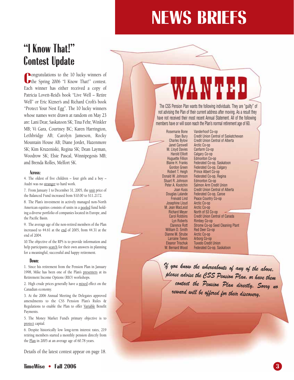# **NEWS BRIEFS**

# **"I Know That!" Contest Update**

**C**ongratulations to the 10 lucky winners of
the Spring 2006 "I Know That!" contest. **Pongratulations to the 10 lucky winners of** Each winner has either received a copy of Patricia Lovett-Reid's book "Live Well – Retire Well" or Eric Kizner's and Richard Croft's book "Protect Your Nest Egg". The 10 lucky winners whose names were drawn at random on May 23 are: Lani Dear, Saskatoon SK; Tina Fehr, Winkler MB; Vi Gara, Courtney BC; Karen Harrington, Lethbridge AB; Carolyn Jameson, Rocky Mountain House AB; Diane Jordet, Hazenmore SK; Kim Kruzeniski, Regina SK; Dean Layman, Woodrow SK; Elsie Pascal, Winnipegosis MB; and Brenda Rolles, Melfort SK.

#### **Across:**

4. The oldest of five children – four girls and a boy – Audri was no stranger to hard work.

7. From January 1 to December 31, 2005, the unit price of the Balanced Fund increased from \$10.00 to \$11.2172.

8. The Plan's investment in actively managed non-North American equities consists of units in a pooled fund holding a diverse portfolio of companies located in Europe, and the Pacific Basin.

9. The average age of the non-retired members of the Plan increased to 44.61 at the end of 2005, from 44.31 at the end of 2004.

10.The objective of the RPS is to provide information and help participants search for their own answers in planning for a meaningful, successful and happy retirement.

#### **Down:**

1. Since his retirement from the Pension Plan in January 1998, Mike has been one of the Plan's presenters at its Retirement Income Options (RIO) workshops.

2. High crude prices generally have a mixed effect on the Canadian economy.

3. At the 2006 Annual Meeting the Delegates approved amendments to the CSS Pension Plan's Rules & Regulations to enable the Plan to offer Variable Benefit Payments.

5. The Money Market Fund's primary objective is to protect capital.

6. Despite historically low long-term interest rates, 219 retiring members started a monthly pension directly from the Plan in 2005 at an average age of 60.78 years.

Details of the latest contest appear on page 18.

The CSS Pension Plan wants the following individuals. They are "guilty" of not advising the Plan of their current address after moving. As a result they have not received their most recent Annual Statement. All of the following members have or will soon reach the Plan's normal retirement age of 60.

Rosemarie Bone Vanderhoof Co-op Janet Carswell M. Lloyd Davies Canfarm Co-op Harold Elliott Calgary Co-op<br>Huguette Fillion Edmonton Co-Huguette Fillion Edmonton Co-op<br>Blaine H. Franks Federated Co-op, Robert T. Heigh Prince Albert Co-op<br>Donald W. Johnson Federated Co-op. Re Stuart R. Johnson Edmonton Co-op<br>Peter A. Kootchin Salmon Arm Crec Josephine Lloyd M. Jean MacLeod Arctic Co-op<br>Pichard Meyer North of 53 William D. Smith Red Deer Co<br>Dianne M. Strube Arctic Co-op Dianne M. Strube Larraine Toews Arborg Co-op<br>Eleanor Trischuk Tuxedo Credit

Stan Bury Credit Union Central of Saskatchewan<br>Charles Bylow Credit Union Central of Alberta Credit Union Central of Alberta<br>Arctic Co-op Federated Co-op, Saskatoon Gordon Green Federated Co-op, Calgary Federated Co-op, Regina Salmon Arm Credit Union Joan Kuss Credit Union Central of Alberta Federated Co-op, Canoe Freivald Lind Peace Country Co-op<br>sephine Lloyd Arctic Co-op North of 53 Co-op Carol Robbins Credit Union Central of Canada<br>Lyn Roberts Rimbey Co-op Rimbey Co-op Clarence Rott Strome Co-op Seed Cleaning Plant<br>liam D. Smith Red Deer Co-op Eleanor Trischuk Tuxedo Credit Union Federated Co-op, Saskatoon

*If you know the whereabouts of any of the above, please advise the CSS Pension Plan, or have them contact the Pension Plan directly. Sorry no reward will be offered for their discovery.*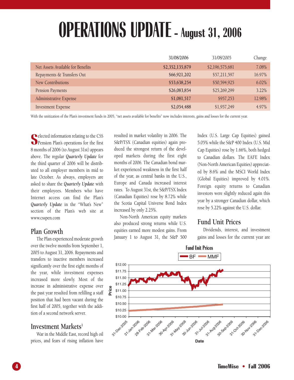# **OPERATIONS UPDATE - August 31, 2006**

|                                   | 31/08/2006      | 31/08/2005      | Change |
|-----------------------------------|-----------------|-----------------|--------|
| Net Assets Available for Benefits | \$2,352,135,879 | \$2,196,575,681 | 7.08%  |
| Repayments & Transfers Out        | \$66,921,202    | \$57,211,597    | 16.97% |
| New Contributions                 | \$53,638,254    | \$50,594,925    | 6.02%  |
| Pension Payments                  | \$26,083,854    | \$25,269,299    | 3.22%  |
| Administrative Expense            | \$1,081,517     | \$957,253       | 12.98% |
| <b>Investment Expense</b>         | \$2,054,488     | \$1,957,249     | 4.97%  |

With the unitization of the Plan's investment funds in 2005, "net assets available for benefits" now includes interests, gains and losses for the current year.

**S** elected information relating to the CSS Pension Plan's operations for the first 8 months of 2006 (to August 31st) appears above. The regular *Quarterly Update* for the third quarter of 2006 will be distributed to all employer members in mid to late October. As always, employers are asked to share the *Quarterly Update* with their employees. Members who have Internet access can find the Plan's *Quarterly Update* in the "What's New" section of the Plan's web site at www.csspen.com

### **Plan Growth**

The Plan experienced moderate growth over the twelve months from September 1, 2005 to August 31, 2006. Repayments and transfers to inactive members increased significantly over the first eight months of the year, while investment expenses increased more slowly. Most of the increase in administrative expense over the past year resulted from refilling a staff position that had been vacant during the first half of 2005, together with the addition of a second network server.

### Investment Markets<sup>1</sup>

War in the Middle East, record high oil prices, and fears of rising inflation have

resulted in market volatility in 2006. The S&P/TSX (Canadian equities) again produced the strongest return of the developed markets during the first eight months of 2006. The Canadian bond market experienced weakness in the first half of the year, as central banks in the U.S., Europe and Canada increased interest rates. To August 31st, the S&P/TSX Index (Canadian Equities) rose by 8.72% while the Scotia Capital Universe Bond Index increased by only 2.25%.

Non-North American equity markets also produced strong returns while U.S. equities earned more modest gains. From January 1 to August 31, the S&P 500

Index (U.S. Large Cap Equities) gained 5.05% while the S&P 400 Index (U.S. Mid Cap Equities) rose by 1.66%, both hedged to Canadian dollars. The EAFE Index (Non-North American Equities) appreciated by 8.6% and the MSCI World Index (Global Equities) improved by 4.01%. Foreign equity returns to Canadian investors were slightly reduced again this year by a stronger Canadian dollar, which rose by 5.22% against the U.S. dollar.

## **Fund Unit Prices**

Dividends, interest, and investment gains and losses for the current year are

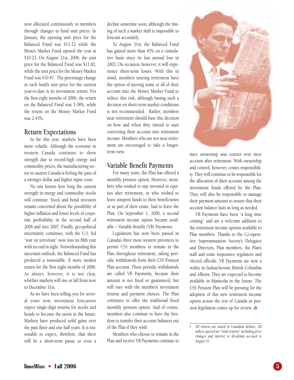now allocated continuously to members through changes in fund unit prices. In January, the opening unit price for the Balanced Fund was \$11.22 while the Money Market Fund opened the year at \$10.23. On August 31st, 2006, the unit price for the Balanced Fund was \$11.82, while the unit price for the Money Market Fund was \$10.47. The percentage change in each fund's unit price for the current year-to-date is its investment return. For the first eight months of 2006, the return on the Balanced Fund was 5.38%, while the return on the Money Market Fund was 2.43%.

#### **Return Expectations**

So far this year, markets have been more volatile. Although the economy in western Canada continues to show strength due to record-high energy and commodity prices, the manufacturing sector in eastern Canada is feeling the pain of a stronger dollar and higher input costs.

No one knows how long the current strength in energy and commodity stocks will continue. Stock and bond investors remain concerned about the possibility of higher inflation and lower levels of corporate profitability in the second half of 2006 and into 2007. Finally, geo-political uncertainty continues, with the U.S. led "war on terrorism" now into its fifth year with no end in sight. Notwithstanding this uncertain outlook, the Balanced Fund has produced a reasonable, if more modest return for the first eight months of 2006. As always, however, it is not clear, whether markets will rise or fall from now to December 31st.

As we have been telling you for several years now, investment forecasters expect single-digit returns for stocks and bonds to become the norm in the future. Markets have produced solid gains over the past three and one half years. It is reasonable to expect, therefore, that there will be a short-term pause or even a decline sometime soon, although the timing of such a market shift is impossible to forecast accurately.

To August 31st, the Balanced Fund has gained more than 45% on a cumulative basis since its last annual loss in 2002. On occasion, however, it will experience short-term losses. With this in mind, members nearing retirement have the option of moving some or all of their account into the Money Market Fund to reduce this risk, although basing such a decision on short-term market conditions is not recommended. Rather, members near retirement should base this decision on how and when they intend to start converting their account into retirement income. Members who are not near retirement are encouraged to take a longerterm view.

### **Variable Benefit Payments**

For many years, the Plan has offered a monthly pension option. However, members who wished to stay invested in equities after retirement, or who wished to leave unspent funds to their beneficiaries or as part of their estate, had to leave the Plan. On September 1, 2006, a second retirement income option became available – Variable Benefit (VB) Payments.

Legislation has now been passed in Canada's three most western provinces to permit CSS members to remain in the Plan throughout retirement, taking periodic withdrawals from their CSS Pension Plan account. These periodic withdrawals are called VB Payments, because their amount is not fixed or guaranteed, but will vary with the member's investment returns and payment choices. The Plan continues to offer the traditional fixed monthly pension option. And of course, members also continue to have the freedom to transfer their account balances out of the Plan if they wish.

Members who choose to remain in the Plan and receive VB Payments continue to



have ownership and control over their account after retirement. With ownership and control, however, comes responsibility. They will continue to be responsible for the allocation of their account among the investment funds offered by the Plan. They will also be responsible to manage their payment amount to ensure that their account balance lasts as long as needed.

VB Payments have been "a long time coming" and are a welcome addition to the retirement income options available to Plan members. Thanks to the Co-operative Superannuation Society's Delegates and Directors, Plan members, the Plan's staff and some responsive regulators and elected officials, VB Payments are now a reality in Saskatchewan, British Columbia and Alberta. They are expected to become available in Manitoba in the future. The CSS Pension Plan will be pressing for the adoption of this new retirement income option across the rest of Canada as pension legislation comes up for review.

*<sup>1</sup> All returns are stated in Canadian dollars. All indices quoted are "total returns" including price changes and interest or dividends accrued to August 31.*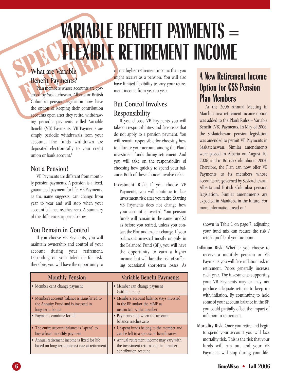# WARIA **VARIABLE BENEFIT PAYMENTS = FLEXIBLE RETIREMENT INCOME**

# **What are Variable Benefit Payments?**

What are Variable<br>Benefit Payments?<br>Plan members whose accounts are governed by Saskatchewan, Alberta or British Plan members whose accounts are governed by Saskatchewan, Alberta or British Columbia pension legislation now have the option of keeping their contribution accounts open after they retire, withdrawing periodic payments called Variable Benefit (VB) Payments. VB Payments are simply periodic withdrawals from your account. The funds withdrawn are deposited electronically to your credit union or bank account.<sup>1</sup>

## **Not a Pension!**

VB Payments are different from monthly pension payments. A pension is a fixed, guaranteed payment for life. VB Payments, as the name suggests, can change from year to year and will stop when your account balance reaches zero. A summary of the differences appears below:

# **You Remain in Control**

If you choose VB Payments, you will maintain ownership and control of your account during your retirement. Depending on your tolerance for risk, therefore, you will have the opportunity to

earn a higher retirement income than you might receive as a pension. You will also have limited flexibility to vary your retirement income from year to year.

# **But Control Involves Responsibility**

If you choose VB Payments you will take on responsibilities and face risks that do not apply to a pension payment. You will remain responsible for choosing how to allocate your account among the Plan's investment funds during retirement. And you will take on the responsibility of choosing how quickly to spend your balance. Both of these choices involve risks.

**Investment Risk:** If you choose VB Payments, you will continue to face investment risk after you retire. Starting VB Payments does not change how your account is invested. Your pension funds will remain in the same fund(s) as before you retired, unless you contact the Plan and make a change. If your balance is invested mostly or only in the Balanced Fund (BF), you will have the opportunity to earn a higher income, but will face the risk of suffering occasional short-term losses. As

| <b>Monthly Pension</b>                                                                                 | Variable Benefit Payments                                                                                  |
|--------------------------------------------------------------------------------------------------------|------------------------------------------------------------------------------------------------------------|
| • Member can't change payment                                                                          | • Member can change payment<br>(within limits)                                                             |
| • Member's account balance is transferred to<br>the Annuity Fund and is invested in<br>long-term bonds | • Member's account balance stays invested<br>in the BF and/or the MMF as<br>instructed by the member       |
| • Payments continue for life                                                                           | • Payments stop when the account<br>balance reaches zero                                                   |
| • The entire account balance is "spent" to<br>buy a fixed monthly payment                              | • Unspent funds belong to the member and<br>can be left to a spouse or beneficiaries                       |
| • Annual retirement income is fixed for life<br>based on long-term interest rate at retirement         | • Annual retirement income may vary with<br>the investment returns on the member's<br>contribution account |

# **A New Retirement Income Option for CSS Pension Plan Members**

At the 2006 Annual Meeting in March, a new retirement income option was added to the Plan's Rules – Variable Benefit (VB) Payments. In May of 2006, the Saskatchewan pension legislation was amended to permit VB Payments in Saskatchewan. Similar amendments were passed in Alberta on August 10, 2006, and in British Columbia in 2004. Therefore, the Plan can now offer VB Payments to its members whose accounts are governed by Saskatchewan, Alberta and British Columbia pension legislation. Similar amendments are expected in Manitoba in the future. For more information, read on!

shown in Table 1 on page 7, adjusting your fund mix can reduce the risk / return profile of your account.

- **Inflation Risk:** Whether you choose to receive a monthly pension or VB Payments you will face inflation risk in retirement. Prices generally increase each year. The investments supporting your VB Payments may or may not produce adequate returns to keep up with inflation. By continuing to hold some of your account balance in the BF, you could partially offset the impact of inflation in retirement.
- **Mortality Risk:** Once you retire and begin to spend your account you will face mortality risk. This is the risk that your funds will run out and your VB Payments will stop during your life-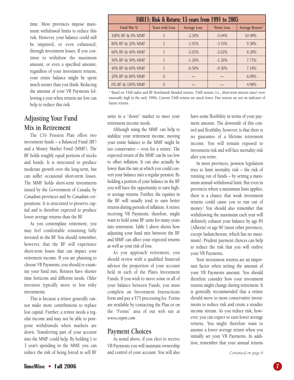time. Most provinces impose maximum withdrawal limits to reduce this risk. However, your balance could still be impaired, or even exhausted, through investment losses. If you continue to withdraw the maximum amount, or even a specified amount, regardless of your investment returns, your entire balance might be spent much sooner than you think. Reducing the amount of your VB Payments following a year when returns are low can help to reduce this risk.

# **Adjusting Your Fund Mix in Retirement**

The CSS Pension Plan offers two investment funds – a Balanced Fund (BF) and a Money Market Fund (MMF). The BF holds roughly equal portions of stocks and bonds. It is structured to produce moderate growth over the long-term, but can suffer occasional short-term losses. The MMF holds short-term investments issued by the Government of Canada, by Canadian provinces and by Canadian corporations. It is structured to preserve capital and is therefore expected to produce lower average returns than the BF.

As you contemplate retirement, you may feel comfortable remaining fully invested in the BF. You should remember, however, that the BF will experience short-term losses that can impact your retirement income. If you are planning to choose VB Payments, you should re-examine your fund mix. Retirees have shorter time horizons and different needs. Older investors typically move to less risky investments.

This is because a retiree generally cannot make more contributions to replace lost capital. Further, a retiree needs a regular income and may not be able to postpone withdrawals when markets are down. Transferring part of your account into the MMF could help. By holding 1 to 3 year's spending in the MMF, you can reduce the risk of being forced to sell BF

| TABLE1: Risk & Return: 15 years from 1991 to 2005 |                        |                     |                   |                 |
|---------------------------------------------------|------------------------|---------------------|-------------------|-----------------|
| Fund Mix %                                        | <b>Years with Loss</b> | <b>Average Loss</b> | <b>Worst Loss</b> | Average Return* |
| 100% BF & 0% MMF                                  | 3                      | $-2.30\%$           | $-5.04%$          | 10.48%          |
| 80% BF & 20% MMF                                  | $\overline{2}$         | $-1.92\%$           | $-3.53\%$         | 9.38%           |
| 60% BF & 40% MMF                                  |                        | $-2.02%$            | $-2.02%$          | 8.28%           |
| 50% BF & 50% MMF                                  |                        | $-1.26%$            | $-1.26%$          | 7.73%           |
| 40% BF & 60% MMF                                  |                        | $-0.50\%$           | $-0.50\%$         | 7.18%           |
| 20% BF & 80% MMF                                  | $\Omega$               |                     |                   | 6.08%           |
| 0% BF & 100% MMF                                  | 0                      |                     |                   | 4.98%           |

\* Based on T-bill index and BF benchmark blended returns. T-bill returns (i.e., short-term interest rates) were unusually high in the early 1990s. Current T-bill returns are much lower. Past returns are not an indicator of future returns.

units in a "down" market to meet your retirement income needs.

Although using the MMF can help to stabilize your retirement income, moving your entire balance to the MMF might be too conservative – even for a retiree. The expected return of the MMF can be too low to offset inflation. It can also actually be lower than the rate at which you could convert your balance into a regular pension. By holding a portion of your balance in the BF you will have the opportunity to earn higher average returns. Further, the equities in the BF will usually tend to earn better returns during periods of inflation. A retiree receiving VB Payments, therefore, might want to hold some BF units for many years into retirement. Table 1 above shows how adjusting your fund mix between the BF and MMF can affect your expected returns as well as your risk of loss.

As you approach retirement, you should review with a qualified financial advisor the proportion of your account held in each of the Plan's Investment Funds. If you wish to move some or all of your balance between Funds, you must complete an Investment Instructions form and pay a \$75 processing fee. Forms are available by contacting the Plan or on the "Forms" area of our web site at *www.csspen.com*

### **Payment Choices**

As noted above, if you elect to receive VB Payments you will maintain ownership and control of your account. You will also have some flexibility in terms of your payment amount. The downside of this control and flexibility, however, is that there is no guarantee of a lifetime retirement income. You will remain exposed to investment risk and will face mortality risk after you retire.

In most provinces, pension legislation tries to limit mortality risk – the risk of running out of funds – by setting a maximum annual withdrawal limit. But even in provinces where a maximum limit applies, there is a chance that weak investment returns could cause you to run out of money.<sup>2</sup> You should also remember that withdrawing the maximum each year will definitely exhaust your balance by age 85 (Alberta) or age 90 (most other provinces, except Saskatchewan, which has no maximum). Prudent payment choices can help to reduce the risk that you will outlive your VB Payments.

Your investment returns are an important factor when setting the amount of your VB Payments amount. You should therefore consider how your investment returns might change during retirement. It is generally recommended that a retiree should move to more conservative investments to reduce risk and create a steadier income stream. As you reduce risk, however, you can expect to earn lower average returns. You might therefore want to assume a lower average return when you initially set your VB Payments. In addition, remember that your annual returns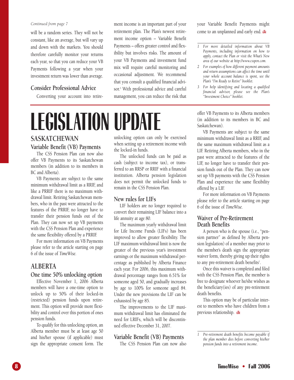#### *Continued from page 7*

will be a random series. They will not be constant, like an average, but will vary up and down with the markets. You should therefore carefully monitor your returns each year, so that you can reduce your VB Payments following a year when your investment return was lower than average.

#### **Consider Professional Advice**

Converting your account into retire-

ment income is an important part of your retirement plan. The Plan's newest retirement income option – Variable Benefit Payments – offers greater control and flexibility but involves risks. The amount of your VB Payments and investment fund mix will require careful monitoring and occasional adjustment. We recommend that you consult a qualified financial advisor.3 With professional advice and careful management, you can reduce the risk that

# **LEGISLATION UPDATE**

### **SASKATCHEWAN**

#### **Variable Benefit (VB) Payments**

The CSS Pension Plan can now also offer VB Payments to its Saskatchewan members (in addition to its members in BC and Alberta).

VB Payments are subject to the same minimum withdrawal limit as a RRIF, and like a PRRIF there is no maximum withdrawal limit. Retiring Saskatchewan members, who in the past were attracted to the features of the PRRIF, no longer have to transfer their pension funds out of the Plan. They can now set up VB payments with the CSS Pension Plan and experience the same flexibility offered by a PRRIF.

For more information on VB Payments please refer to the article starting on page 6 of the issue of *TimeWise.*

#### **ALBERTA**

#### **One time 50% unlocking option**

Effective November 1, 2006 Alberta members will have a one-time option to unlock up to 50% of their locked-in (restricted) pension funds upon retirement. This option will provide more flexibility and control over this portion of ones pension funds.

To qualify for this unlocking option, an Alberta member must be at least age 50 and his/her spouse (if applicable) must sign the appropriate consent form. The unlocking option can only be exercised when setting up a retirement income with the locked-in funds.

The unlocked funds can be paid as cash (subject to income tax), or transferred to an RRSP or RRIF with a financial institution. Alberta pension legislation does not permit the unlocked funds to remain in the CSS Pension Plan.

#### **New rules for LIFs**

LIF holders are no longer required to convert their remaining LIF balance into a life annuity at age 80.

The maximum yearly withdrawal limit for Life Income Funds (LIFs) has been improved to allow greater flexibility. The LIF maximum withdrawal limit is now the greater of the previous year's investment earnings or the maximum withdrawal percentage as published by Alberta Finance each year. For 2006, this maximum withdrawal percentage ranges from 6.51% for someone aged 50, and gradually increases by age to 100% for someone aged 84. Under the new provisions the LIF can be exhausted by age 85.

The improvements to the LIF maximum withdrawal limit has eliminated the need for LRIFs, which will be discontinued effective December 31, 2007.

#### **Variable Benefit (VB) Payments**

The CSS Pension Plan can now also

your Variable Benefit Payments might come to an unplanned and early end.

- *1 For more detailed information about VB Payments, including information on how to apply, contact the Plan or visit the What's New area of our website at http://www.csspen.com.*
- *2 For examples of how different payment amounts and return assumptions can affect the time until your whole account balance is spent, see the Plan's "I'm Ready to Retire" booklet.*
- *3 For help identifying and locating a qualified financial advisor, please see the Plan's "Investment Choice" booklet.*

offer VB Payments to its Alberta members (in addition to its members in BC and Saskatchewan).

VB Payments are subject to the same minimum withdrawal limit as a RRIF, and the same maximum withdrawal limit as a LIF. Retiring Alberta members, who in the past were attracted to the features of the LIF, no longer have to transfer their pension funds out of the Plan. They can now set up VB payments with the CSS Pension Plan and experience the same flexibility offered by a LIF.

For more information on VB Payments please refer to the article starting on page 6 of the issue of *TimeWise.*

#### **Waiver of Pre-Retirement Death Benefits**

A person who is the spouse (i.e., "pension partner" as defined by Alberta pension legislation) of a member may prior to the member's death sign the appropriate waiver form, thereby giving up their rights to any pre-retirement death benefits<sup>1</sup>.

Once this waiver is completed and filed with the CSS Pension Plan, the member is free to designate whoever he/she wishes as the beneficiary(ies) of any pre-retirement death benefits.

This option may be of particular interest to members who have children from a previous relationship.

*1 Pre-retirement death benefits become payable if the plan member dies before converting his/her pension funds into a retirement income.*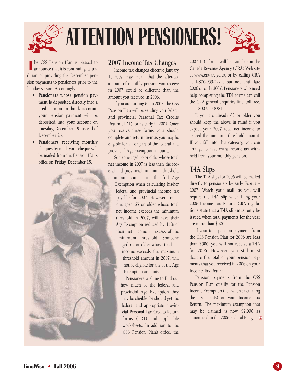

The CSS Pension Plan is pleased to announce that it is continuing its tradition of providing the December penhe CSS Pension Plan is pleased to announce that it is continuing its trasion payments to pensioners prior to the holiday season. Accordingly:

- **Pensioners whose pension payment is deposited directly into a credit union or bank account:** your pension payment will be deposited into your account on **Tuesday, December 19** instead of December 26.
- **Pensioners receiving monthly cheques by mail:** your cheque will be mailed from the Pension Plan's office on **Friday, December 15.**



### **2007 Income Tax Changes**

Income tax changes effective January 1, 2007 may mean that the after-tax amount of monthly pension you receive in 2007 could be different than the amount you received in 2006.

If you are turning 65 in 2007, the CSS Pension Plan will be sending you federal and provincial Personal Tax Credits Return (TD1) forms early in 2007. Once you receive these forms your should complete and return them as you may be eligible for all or part of the federal and provincial Age Exemption amounts.

Someone aged 65 or older whose **total net income** in 2007 is less than the federal and provincial minimum threshold amount can claim the full Age Exemption when calculating his/her federal and provincial income tax payable for 2007. However, someone aged 65 or older whose **total net income** exceeds the minimum threshold in 2007, will have their Age Exemption reduced by 15% of their net income in excess of the minimum threshold. Someone aged 65 or older whose total net income exceeds the maximum threshold amount in 2007, will not be eligible for any of the Age Exemption amounts.

> Pensioners wishing to find out how much of the federal and provincial Age Exemption they may be eligible for should get the federal and appropriate provincial Personal Tax Credits Return forms (TD1) and applicable worksheets. In addition to the CSS Pension Plan's office, the

2007 TD1 forms will be available on the Canada Revenue Agency (CRA) Web site at www.cra-arc.gc.ca, or by calling CRA at 1-800-959-2221, but not until late 2006 or early 2007. Pensioners who need help completing the TD1 forms can call the CRA general enquiries line, toll free, at: 1-800-959-8281.

If you are already 65 or older you should keep the above in mind if you expect your 2007 total net income to exceed the minimum threshold amount. If you fall into this category, you can arrange to have extra income tax withheld from your monthly pension.

## **T4A Slips**

The T4A slips for 2006 will be mailed directly to pensioners by early February 2007. Watch your mail, as you will require the T4A slip when filing your 2006 Income Tax Return. **CRA regulations state that a T4A slip must only be issued when total payments for the year are more than \$500.** 

If your total pension payments from the CSS Pension Plan for 2006 **are less than \$500**, you will **not** receive a T4A for 2006. However, you still must declare the total of your pension payments that you received in 2006 on your Income Tax Return.

Pension payments from the CSS Pension Plan qualify for the Pension Income Exemption (i.e., when calculating the tax credits) on your Income Tax Return. The maximum exemption that may be claimed is now \$2,000 as announced in the 2006 Federal Budget.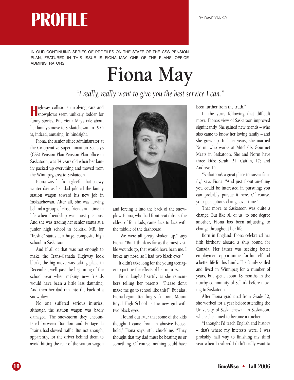IN OUR CONTINUING SERIES OF PROFILES ON THE STAFF OF THE CSS PENSION PLAN, FEATURED IN THIS ISSUE IS FIONA MAY, ONE OF THE PLANS' OFFICE ADMINISTRATORS.

# **Fiona May**

*"I really, really want to give you the best service I can."*

**H** ighway collisions involving cars and<br>snowplows seem unlikely fodder for ighway collisions involving cars and funny stories. But Fiona May's tale about her family's move to Saskatchewan in 1975 is, indeed, amusing. In hindsight.

Fiona, the senior office administrator at the Co-operative Superannuation Society's (CSS) Pension Plan Pension Plan office in Saskatoon, was 14 years old when her family packed up everything and moved from the Winnipeg area to Saskatoon.

Fiona was far from gleeful that snowy winter day as her dad piloted the family station wagon toward his new job in Saskatchewan. After all, she was leaving behind a group of close friends at a time in life when friendship was most precious. And she was trading her senior status at a junior high school in Selkirk, MB, for "freshie'' status at a huge, composite high school in Saskatoon.

And if all of that was not enough to make the Trans-Canada Highway look bleak, the big move was taking place in December, well past the beginning of the school year when making new friends would have been a little less daunting. And then her dad ran into the back of a snowplow.

No one suffered serious injuries, although the station wagon was badly damaged. The snowstorm they encountered between Brandon and Portage la Prairie had slowed traffic. But not enough, apparently, for the driver behind them to avoid hitting the rear of the station wagon



and forcing it into the back of the snowplow. Fiona, who had front-seat dibs as the eldest of four kids, came face to face with the middle of the dashboard.

"We were all pretty shaken up," says Fiona. "But I think as far as the most visible wounds go, that would have been me. I broke my nose, so I had two black eyes.''

It didn't take long for the young teenager to picture the effects of her injuries.

Fiona laughs heartily as she remembers telling her parents: "Please don't make me go to school like this!''. But alas, Fiona began attending Saskatoon's Mount Royal High School as the new girl with two black eyes.

"I found out later that some of the kids thought I came from an abusive household,'' Fiona says, still chuckling. "They thought that my dad must be beating us or something. Of course, nothing could have been further from the truth.''

In the years following that difficult move, Fiona's view of Saskatoon improved significantly. She gained new friends – who also came to know her loving family – and she grew up. In later years, she married Norm, who works at Mitchell's Gourmet Meats in Saskatoon. She and Norm have three kids: Sarah, 21, Caitlin, 17; and Andrew, 15.

"Saskatoon's a great place to raise a family,'' says Fiona. "And just about anything you could be interested in pursuing; you can probably pursue it here. Of course, your perceptions change over time.''

That move to Saskatoon was quite a change. But like all of us, to one degree another, Fiona has been adjusting to change throughout her life.

Born in England, Fiona celebrated her fifth birthday aboard a ship bound for Canada. Her father was seeking better employment opportunities for himself and a better life for his family. The family settled and lived in Winnipeg for a number of years, but spent about 18 months in the nearby community of Selkirk before moving to Saskatoon.

After Fiona graduated from Grade 12, she worked for a year before attending the University of Saskatchewan in Saskatoon, where she aimed to become a teacher.

"I thought I'd teach English and history – that's where my interests were. I was probably half way to finishing my third year when I realized I didn't really want to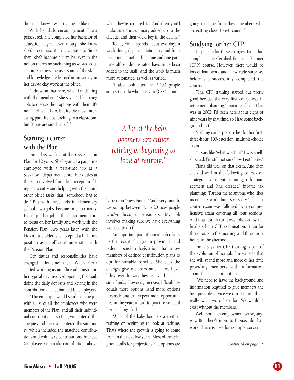do that. I knew I wasn't going to like it.''

With her dad's encouragement, Fiona persevered. She completed her bachelor of education degree, even though she knew she'd never use it in a classroom. Since then, she's become a firm believer in the notion there's no such thing as wasted education. She says she uses some of the skills and knowledge she learned at university in her day-to-day work at the office.

"I draw on that here, when I'm dealing with the members," she says. "I like being able to discuss their options with them. It's not all of what I do, but it's the most interesting part. It's not teaching in a classroom, but (there are similarities).''

### **Starting a career with the Plan**

Fiona has worked at the CSS Pension Plan for 12 years. She began as a part-time employee with a part-time job at a Saskatoon department store. Her duties at the Plan involved front desk reception, filing, data entry and helping with the many other office tasks that "somebody has to do.'' But with three kids in elementary school, two jobs became one too many. Fiona quit her job at the department store to focus on her family and work with the Pension Plan. Two years later, with the kids a little older, she accepted a full-time position as an office administrator with the Pension Plan.

Her duties and responsibilities have changed a lot since then. When Fiona started working as an office administrator, her typical day involved opening the mail, doing the daily deposits and keying in the contribution data submitted by employers.

"The employer would send in a cheque with a list of all the employees who were members of the Plan, and all their individual contributions. So first, you entered the cheques and then you entered the summary, which included the matched contributions and voluntary contributions, because (employees) can make contributions above what they're required to. And then you'd make sure the summary added up to the cheque, and then you'd key in the details.''

Today, Fiona spends about two days a week doing deposits, data entry and front reception – another full-time and one parttime office administrator have since been added to the staff. And the work is much more automated, as well as varied.

"I also look after the 5,500 people across Canada who receive a (CSS) month-

*"A lot of the baby boomers are either retiring or beginning to look at retiring."*

ly pension,'' says Fiona. "And every month, we set up between 15 to 20 new people who've become pensioners. My job involves making sure we have everything we need to do that.''

An important part of Fiona's job relates to the recent changes in provincial and federal pension legislation that allow members of defined contribution plans to opt for variable benefits. She says the changes give members much more flexibility over the way they receive their pension funds. However, increased flexibility equals more options. And more options means Fiona can expect more opportunities in the years ahead to practise some of her teaching skills.

"A lot of the baby boomers are either retiring or beginning to look at retiring. That's where the growth is going to come from in the next few years. Most of the telephone calls for projections and options are

going to come from these members who are getting closer to retirement.''

### **Studying for her CFP**

To prepare for these changes, Fiona has completed the Certified Financial Planner (CFP) course. However, there would be lots of hard work and a few rude surprises before she successfully completed the course.

''The CFP training started out pretty good because the very first course was in retirement planning,'' Fiona recalled. "That was in 2002. I'd been here about eight or nine years by that time, so I had some background in that.''

Nothing could prepare her for her first, three-hour, 100-question, multiple-choice exam.

"It was like 'what was that? I was shellshocked. I'm still not sure how I got home.''

Fiona did well on that exam. And then she did well in the following courses on strategic investment planning, risk management and (the dreaded) income tax planning: "Pardon me to anyone who likes income tax work, but it's very dry.'' The last course exam was followed by a comprehensive exam covering all four sections. And that test, in turn, was followed by the final six-hour CFP examination. It ran for three hours in the morning and three more hours in the afternoon.

Fiona says her CFP training is part of the evolution of her job. She expects that she will spend more and more of her time providing members with information about their pension options.

"We need to have the background and information required to give members the best possible service we can. I mean, that's really what we're here for. We wouldn't exist without the members.''

Well, not in an employment sense, anyway. But there's more to Fiona's life than work. There is also, for example, soccer!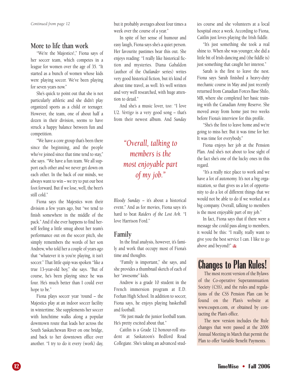## **More to life than work**

"We're the Majestics!,'' Fiona says of her soccer team, which competes in a league for women over the age of 35. "It started as a bunch of women whose kids were playing soccer. We've been playing for seven years now.''

She's quick to point out that she is not particularly athletic and she didn't play organized sports as a child or teenager. However, the team, one of about half a dozen in their division, seems to have struck a happy balance between fun and competition.

"We have a core group that's been there since the beginning, and the people who've joined since that time tend to stay," she says. "We have a fun team. We all support each other and we never get down on each other. In the back of our minds, we always want to win – we try to put our best foot forward. But if we lose, well, the beer's still cold.''

Fiona says the Majestics won their division a few years ago, but "we tend to finish somewhere in the middle of the pack.'' And if she ever happens to find herself feeling a little smug about her team's performance out on the soccer pitch, she simply remembers the words of her son Andrew, who told her a couple of years ago that "whatever it is you're playing, it isn't soccer.'' That little quip was spoken "like a true 13-year-old boy,'' she says. "But of course, he's been playing since he was four. He's much better than I could ever hope to be.''

Fiona plays soccer year 'round – the Majestics play at an indoor soccer facility in wintertime. She supplements her soccer with lunchtime walks along a popular downtown route that leads her across the South Saskatchewan River on one bridge, and back to her downtown office over another. "I try to do it every (work) day, but it probably averages about four times a week over the course of a year.''

In spite of her sense of humour and easy laugh, Fiona says she's a quiet person. Her favourite pastimes bear this out. She enjoys reading: "I really like historical fiction and mysteries. Diana Gabaldon (author of the *Outlander* series) writes very good historical fiction, but it's kind of about time travel, as well. It's well written and very well researched, with huge attention to detail.''

And she's a music lover, too: "I love U2. *Vertigo* is a very good song – that's from their newest album. And *Sunday*

> *"Overall, talking to members is the most enjoyable part of my job.''*

*Bloody Sunday* – it's about a historical event.'' And as for movies, Fiona says it's hard to beat *Raiders of the Lost Ark*. "I love Harrison Ford.''

## **Family**

In the final analysis, however, it's family and work that occupy most of Fiona's time and thoughts.

"Family is important,'' she says, and she provides a thumbnail sketch of each of her "awesome'' kids.

Andrew is a grade 10 student in the French immersion program at E.D. Feehan High School. In addition to soccer, Fiona says, he enjoys playing basketball and football.

"He just made the junior football team. He's pretty excited about that.''

Caitlin is a Grade 12 honour-roll student at Saskatoon's Bedford Road Collegiate. She's taking an advanced studies course and she volunteers at a local hospital once a week. According to Fiona, Caitlin just loves playing the Irish fiddle.

"It's just something she took a real shine to. When she was younger, she did a little bit of Irish dancing and (the fiddle is) just something that caught her interest.''

Sarah is the first to leave the nest. Fiona says Sarah finished a heavy-duty mechanic course in May and just recently returned from Canadian Forces Base Shilo, MB, where she completed her basic training with the Canadian Army Reserve. She moved away from home just two weeks before Fiona's interview for this profile.

"She's the first to leave home and we're going to miss her. But it was time for her. It was time for everybody.''

Fiona enjoys her job at the Pension Plan. And she's not about to lose sight of the fact she's one of the lucky ones in this regard.

"It's a really nice place to work and we have a lot of autonomy. It's not a big organization, so that gives us a lot of opportunity to do a lot of different things that we would not be able to do if we worked at a big company. Overall, talking to members is the most enjoyable part of my job.''

In fact, Fiona says that if there were a message she could pass along to members, it would be this: "I really, really want to give you the best service I can. I like to go above and beyond!" as

# **Changes to Plan Rules!**

The most recent version of the Bylaws of the Co-operative Superannnuation Society (CSS), and the rules and regulations of the CSS Pension Plan can be found on the Plan's website at www.csspen.com, or obtained by contacting the Plan's office.

The new version includes the Rule changes that were passed at the 2006 Annual Meeting in March that permit the Plan to offer Variable Benefit Payments.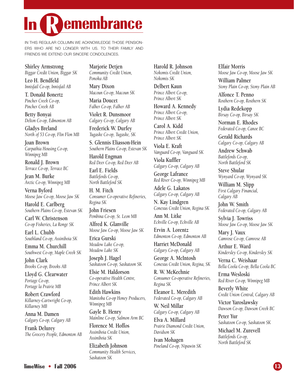# **emembrance**

IN THIS REGULAR COLUMN WE ACKNOWLEDGE THOSE PENSION-ERS WHO ARE NO LONGER WITH US. TO THEIR FAMILY AND FRIENDS WE EXTEND OUR SINCERE CONDOLENCES.

#### **Shirley Armstrong**

*Biggar Credit Union, Biggar SK*

**Leo H. Bendfeld** *Innisfail Co-op, Innisfail AB*

**T. Donald Bonertz** *Pincher Creek Co-op, Pincher Creek AB*

**Betty Bonyai** *Delton Co-op, Edmonton AB*

**Gladys Breland** *North of 53 Co-op, Flin Flon MB*

**Joan Brown** *Carpathia Housing Co-op, Winnipeg MB*

**Ronald J. Brown** *Terrace Co-op, Terrace BC*

**Jean M. Burke** *Arctic Co-op, Winnipeg MB*

**Verna Byford** *Moose Jaw Co-op, Moose Jaw SK*

**Harold E. Carlberg** *Southern Plains Co-op, Estevan SK*

**Carl W. Christenson** *Co-op Fisheries, La Ronge SK*

**Earl L. Chubb** *Southland Co-op, Assiniboia SK*

**Emma M. Churchill** *Southwest Co-op, Maple Creek SK*

**John Clark** *Brooks Co-op, Brooks AB*

**Lloyd G. Clearwater** *Portage Co-op, Portage la Prairie MB*

**Robert Crawford** *Killarney-Cartwright Co-op, Killarney MB*

**Anna M. Damen** *Calgary Co-op, Calgary AB*

**Frank Delurey** *The Grocery People, Edmonton AB* **Marjorie Detjen**

*Community Credit Union, Ponoka AB*

**Mary Dixon** *Macoun Co-op, Macoun SK*

**Maria Doucet** *Falher Co-op, Falher AB*

**Violet R. Dunsmoor** *Calgary Co-op, Calgary AB*

**Frederick W. Durfey** *Tugaske Co-op, Tugaske, SK*

**S. Glennis Eliasson-Hein** *Southern Plains Co-op, Estevan SK*

**Harold Engman** *Red Deer Co-op, Red Deer AB*

**Earl E. Fields** *Battlefords Co-op, North Battleford SK*

**H. M. Fitch** *Consumer Co-operative Refineries, Regina SK*

**John Friesen** *Pembina Co-op, St. Leon MB*

**Alfred K. Glanville** *Moose Jaw Co-op, Moose Jaw SK*

**Erica Gurski** *Meadow Lake Co-op, Meadow Lake SK*

**Joseph J. Hagel** *Saskatoon Co-op, Saskatoon SK*

**Elsie M. Haldorson** *Co-operative Health Centre, Prince Albert SK*

**Edith Hawkins** *Manitoba Co-op Honey Producers, Winnipeg MB*

**Gayle B. Henry** *Mainline Co-op, Salmon Arm BC*

**Florence M. Hoffos** *Assiniboia Credit Union, Assiniboia SK*

**Elizabeth Johnson** *Community Health Services, Saskatoon SK*

**Harold R. Johnson** *Nokomis Credit Union, Nokomis SK*

**Delbert Kaun** *Prince Albert Co-op, Prince Albert SK*

**Howard A. Kennedy** *Prince Albert Co-op, Prince Albert SK*

**Carol A. Kidd** *Prince Albert Credit Union, Prince Albert SK*

**Viola E. Kraft** *Vanguard Co-op, Vanguard SK*

**Viola Kuffler** *Calgary Co-op, Calgary AB*

**George Lafrance** *Red River Co-op, Winnipeg MB*

**Adele G. Lakatos** *Calgary Co-op, Calgary AB*

**N. Kay Lindgren** *Conexus Credit Union, Regina SK*

**Ann M. Litke** *Eckville Co-op, Eckville AB*

**Ervin A. Lorentz** *Edmonton Co-op, Edmonton AB*

**Harriet McDonald** *Calgary Co-op, Calgary AB*

**George A. McIntosh** *Conexus Credit Union, Regina, SK*

**R. W. McKechnie** *Consumer Co-operative Refineries, Regina SK*

**Eleanor L. Meredith** *Federated Co-op, Calgary AB*

**W. Neil Millar** *Calgary Co-op, Calgary AB*

**Elva A. Millard** *Prairie Diamond Credit Union, Davidson SK*

**Ivan Mohagen** *Pineland Co-op, Nipawin SK* **Elfair Morris** *Moose Jaw Co-op, Moose Jaw SK* **William Palmer**

*Stony Plain Co-op, Stony Plain AB*

**Alfonce T. Penno** *Rosthern Co-op, Rosthern SK*

**Lydia Redekopp** *Birsay Co-op, Birsay SK*

**Norman E. Rhodes** *Federated Co-op, Canoe BC*

**Gerald Richards** *Calgary Co-op, Calgary AB*

**Andrew Schwab** *Battlefords Co-op, North Battleford SK*

**Steve Shular** *Wynyard Co-op, Wynyard SK*

**William M. Slipp** *First Calgary Financial, Calgary AB*

**John W. Smith** *Federated Co-op, Calgary AB*

**Sylvia J. Towriss** *Moose Jaw Co-op, Moose Jaw SK*

**Mary J. Vaux** *Camrose Co-op, Camrose AB*

**Arthur E. Ward** *Kindersley Co-op, Kindersley SK*

**Verna C. Weishaar** *Bella Coola Co-op, Bella Coola BC*

**Erma Wesloski** *Red River Co-op, Winnipeg MB*

**Beverly White** *Credit Union Central, Calgary AB*

**Victor Yaroslawsky** *Dawson Co-op, Dawson Creek BC*

**Peter Yur** *Saskatoon Co-op, Saskatoon SK*

**Michael M. Zurevell** *Battlefords Co-op, North Battleford SK*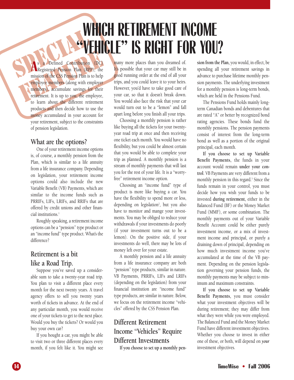# **WHICH RETIREMENT INCOME "VEHICLE" IS RIGHT FOR YOU?**

SPECIAL CONTRACTER DE LA CONTRACTE DE LA CONTRACTE DE LA CONTRACTE DE LA CONTRACTE DE LA CONTRACTE DE LA CONTRACTE DE LA CONTRACTE DE LA CONTRACTE DE LA CONTRACTE DE LA CONTRACTE DE LA CONTRACTE DE LA CONTRACTE DE LA CONTR FRANCE CONTRESS CONTRESS (CONTRESS) A Defined Contribution (DC)<br>
The mission of the CSS Pension Plan is to help<br>
employee members (along with employer<br>
members), accumulate savings for their<br>
retirement. It is up to you, t **A** s a Defined Contribution (DC) Registered Pension Plan (RPP), the mission of the CSS Pension Plan is to help employee members (along with employer members), accumulate savings for their retirement. It is up to you, the employee, to learn about the different retirement products and then decide how to use the money accumulated in your account for your retirement, subject to the constraints of pension legislation.

## **What are the options?**

One of your retirement income options is, of course, a monthly pension from the Plan, which is similar to a life annuity from a life insurance company. Depending on legislation, your retirement income options could also include the new Variable Benefit (VB) Payments, which are similar to the income funds such as PRRIFs, LIFs, LRIFs, and RRIFs that are offered by credit unions and other financial institutions.<sup>1</sup>

Roughly speaking, a retirement income options can be a "pension" type product or an "income fund" type product. What's the difference?

# **Retirement is a bit like a Road Trip.**

Suppose you've saved up a considerable sum to take a twenty-year road trip. You plan to visit a different place every month for the next twenty years. A travel agency offers to sell you twenty years worth of tickets in advance. At the end of any particular month, you would receive one of your tickets to get to the next place. Would you buy the tickets? Or would you buy your own car?

If you bought a car, you might be able to visit two or three different places every month, if you felt like it. You might see

many more places than you dreamed of. It's possible that your car may still be in good running order at the end of all your trips, and you could leave it to your heirs. However, you'd have to take good care of your car, so that it doesn't break down. You would also face the risk that your car would turn out to be a "lemon" and fall apart long before you finish all your trips.

Choosing a monthly pension is rather like buying all the tickets for your twentyyear road trip at once and then receiving one ticket each month. You would have no flexibility, but you could be almost certain that you would be able to complete your trip as planned. A monthly pension is a stream of monthly payments that will last you for the rest of your life. It is a "worryfree" retirement income option.

Choosing an "income fund" type of product is more like buying a car. You have the flexibility to spend more or less, depending on legislation<sup>2</sup>, but you also have to monitor and mange your investments. You may be obliged to reduce your withdrawals if your investments do poorly (if your investment turns out to be a lemon). On the positive side, if your investments do well, there may be lots of money left over for your estate.

A monthly pension and a life annuity from a life insurance company are both "pension" type products, similar in nature. VB Payments, PRRIFs, LIFs and LRIFs (depending on the legislation) from your financial institution are "income fund" type products, are similar in nature. Below, we focus on the retirement income "vehicles" offered by the CSS Pension Plan.

# **Different Retirement Income "Vehicles" Require Different Investments**

**If you choose to set up a monthly pen-**

**sion from the Plan,** you would, in effect, be spending all your retirement savings in advance to purchase lifetime monthly pension payments. The underlying investment for a monthly pension is long-term bonds, which are held in the Pensions Fund.

The Pensions Fund holds mainly longterm Canadian bonds and debentures that are rated "A" or better by recognized bond rating agencies. These bonds fund the monthly pensions. The pension payments consist of interest from the long-term bond as well as a portion of the original principal, each month.

**If you choose to set up Variable Benefit Payments,** the funds in your account would remain **under your control**. VB Payments are very different from a monthly pension in this regard.<sup>3</sup> Since the funds remain in your control, you must decide how you wish your funds to be invested **during retirement,** either in the Balanced Fund (BF) or the Money Market Fund (MMF), or some combination. The monthly payments out of your Variable Benefit Account could be either purely investment income, or a mix of investment income and principal, or purely a draining down of principal, depending on how much investment income you've accumulated at the time of the VB payment. Depending on the pension legislation governing your pension funds, the monthly payments may be subject to minimum and maximum constraints.

**If you choose to set up Variable Benefit Payments,** you must consider what your investment objectives will be during retirement; they may differ from what they were while you were employed. The Balanced Fund and the Money Market Fund have different investment objectives. Whether you choose to invest in either one of these, or both, will depend on *your* investment objectives.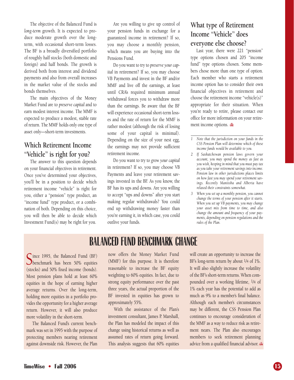The objective of the Balanced Fund is *long-term* growth. It is expected to produce moderate growth over the longterm, with occasional short-term losses. The BF is a broadly diversified portfolio of roughly half stocks (both domestic and foreign) and half bonds. The growth is derived both from interest and dividend payments and also from overall increases in the market value of the stocks and bonds themselves.

The main objectives of the Money Market Fund are to *preserve capital* and to earn modest interest income. The MMF is expected to produce a modest, stable rate of return. The MMF holds only one type of asset only—short-term investments.

# **Which Retirement Income "Vehicle" is right for you?**

The answer to this question depends on your financial objectives in retirement. Once you've determined your objectives, you'll be in a position to decide which retirement income "vehicle" is right for you, either a "pension" type product, an "income fund" type product, or a combination of both. Depending on this choice, you will then be able to decide which Investment Fund(s) may be right for you.

Are you willing to give up control of your pension funds in exchange for a guaranteed income in retirement? If so, you may choose a monthly pension, which means you are buying into the Pensions Fund.

Do you want to try to *preserve your capital* in retirement? If so, you may choose VB Payments and invest in the BF and/or MMF and live off the earnings, at least until CRA's required minimum annual withdrawal forces you to withdraw more than the earnings. Be aware that the BF will experience occasional short-term losses and the rate of return for the MMF is rather modest (although the risk of losing some of your capital is minimal). Depending on the size of your nest egg, the earnings may not provide sufficient retirement income.

Do you want to try to *grow your capital* in retirement? If so, you may choose VB Payments and leave your retirement savings invested in the BF. As you know, the BF has its ups and downs. Are you willing to accept "ups and downs" after you start making regular withdrawals? You could end up withdrawing money faster than you're earning it, in which case, you could outlive your funds.

# **What type of Retirement Income "Vehicle" does everyone else choose?**

Last year, there were 221 "pension" type options chosen and 205 "income fund" type options chosen. Some members chose more than one type of option. Each member who starts a retirement income option has to consider their own financial objectives in retirement and choose the retirement income "vehicle(s)" appropriate for their situation. When you're ready to retire, please contact our office for more information on your retirement income options.

- *2 If Saskatchewan pension laws govern your account, you may spend the money as fast as you wish, keeping in mind that you must pay tax as you take your retirement savings into income. Pension law in other jurisdictions places limits on how fast you may spend your retirement savings. Recently Manitoba and Alberta have relaxed their constraints somewhat.*
- *3 When you set up a monthly pension, you cannot change the terms of your pension after it starts. When you set up VB payments, you may change your asset mix from time to time, and also change the amount and frequency of your payments, depending on pension regulations and the rules of the Plan.*

# **BALANCED FUND BENCHMARK CHANGE**

Since 1995, the Balanced Fund (BF)<br>benchmark has been 50% equities (stocks) and 50% fixed income (bonds). Most pension plans hold at least 60% equities in the hope of earning higher average returns. Over the long-term, holding more equities in a portfolio provides the opportunity for a higher average return. However, it will also produce more volatility in the short-term.

The Balanced Fund's current benchmark was set in 1995 with the purpose of protecting members nearing retirement against downside risk. However, the Plan

now offers the Money Market Fund (MMF) for this purpose. It is therefore reasonable to increase the BF equity weighting to 60% equities. In fact, due to strong equity performance over the past three years, the actual proportion of the BF invested in equities has grown to approximately 55%.

With the assistance of the Plan's investment consultant, James P. Marshall, the Plan has modeled the impact of this change using historical returns as well as assumed rates of return going forward. This analysis suggests that 60% equities

will create an opportunity to increase the BF's long-term return by about 1/4 of 1%. It will also slightly increase the volatility of the BF's short-term returns. When compounded over a working lifetime, 1/4 of 1% each year has the potential to add as much as 9% to a member's final balance. Although each member's circumstances may be different, the CSS Pension Plan continues to encourage consideration of the MMF as a way to reduce risk as retirement nears. The Plan also encourages members to seek retirement planning advice from a qualified financial advisor.

*<sup>1</sup> Note that the jurisdiction on your funds in the CSS Pension Plan will determine which of these income funds would be available to you.*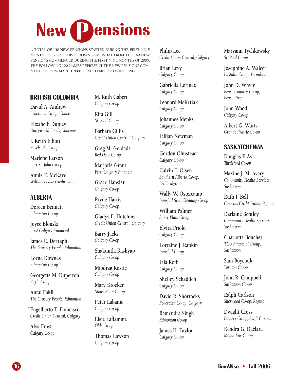# **New Pensions**

A TOTAL OF 158 NEW PENSIONS STARTED DURING THE FIRST NINE MONTHS OF 2006. THIS IS DOWN SOMEWHAT FROM THE 169 NEW PENSIONS COMMENCED DURING THE FIRST NINE MONTHS OF 2005. THE FOLLOWING 120 NAMES REPRESENT THE NEW PENSIONS COM-MENCED FROM MARCH 2006 TO SEPTEMBER 2006 INCLUSIVE.

**Philip Lee** *Credit Union Central, Calgary*

**Brian Levy** *Calgary Co-op*

**Gabriella Lorincz** *Calgary Co-op*

**Leonard McKetiak** *Calgary Co-op*

**Johannes Menks** *Calgary Co-op*

**Lillian Newman** *Calgary Co-op*

**Gordon Olmstead** *Calgary Co-op*

**Calvin T. Olsen** *Southern Alberta Co-op, Lethbridge*

**Wally W. Ostercamp** *Innisfail Seed Cleaning Co-op*

**William Palmer** *Stony Plain Co-op*

**Elvira Priolo** *Calgary Co-op*

**Lorraine J. Rankin** *Innisfail Co-op*

**Lila Roth** *Calgary Co-op*

**Shelley Schadlich** *Calgary Co-op*

**David R. Shorrocks** *Federated Co-op, Calgary*

**Ramendra Singh** *Edmonton Co-op*

**James H. Taylor** *Calgary Co-op*

**Maryann Tychkowsky** *St. Paul Co-op*

**Josephine A. Walcer** *Eastalta Co-op, Vermilion*

**John D. Whyte** *Peace Country Co-op, Peace River*

**John Wood** *Calgary Co-op*

**Albert G. Wurtz** *Grande Prairie Co-op*

### **SASKATCHEWAN**

**Douglas F. Ask** *Turtleford Co-op*

**Maxine J. M. Avery** *Community Health Services, Saskatoon*

**Ruth I. Bell** *Conexus Credit Union, Regina*

**Darlaine Bentley** *Community Health Services, Saskatoon*

**Charlotte Boucher** *TCU Financial Group, Saskatoon*

**Sam Boychuk** *Yorkton Co-op*

**John R. Campbell** *Saskatoon Co-op*

**Ralph Carlson** *Sherwood Co-op, Regina*

**Dwight Cross** *Pioneer Co-op, Swift Current*

**Kendra G. Declare** *Moose Jaw Co-op*

# **BRITISH COLUMBIA**

**David A. Andrew** *Federated Co-op, Canoe*

**Elizabeth Dupley** *Dairyworld Foods, Vancouver*

**J. Keith Elliott** *Revelstoke Co-op*

**Marlene Larson** *Fort St. John Co-op*

**Annie E. McKave** *Williams Lake Credit Union*

## **ALBERTA**

**Doreen Bennett** *Edmonton Co-op*

**Joyce Blonski** *First Calgary Financial*

**James E. Derzaph** *The Grocery People, Edmonton*

**Lorne Downes** *Edmonton Co-op*

**Georgette M. Duperron** *Boyle Co-op*

**Antal Fakli** *The Grocery People, Edmonton*

**Engelberto T. Francisco \****Credit Union Central, Calgary*

**Alva Frost** *Calgary Co-op* **M. Ruth Gabert** *Calgary Co-op*

**Rita Gill** *St. Paul Co-op*

**Barbara Gillis** *Credit Union Central, Calgary*

**Greg M. Goldade** *Red Deer Co-op*

**Marjorie Grant** *First Calgary Financial*

**Grace Hansler** *Calgary Co-op*

**Pryde Harris** *Calgary Co-op*

**Gladys E. Hutchins** *Credit Union Central, Calgary*

**Barry Jacks** *Calgary Co-op*

**Shakuntla Kashyap** *Calgary Co-op*

**Miodrag Kostic** *Calgary Co-op*

**Mary Kroeker** *Stony Plain Co-op*

**Peter Labanic** *Calgary Co-op*

**Elsie Laflamme** *Olds Co-op*

**Thomas Lawson** *Calgary Co-op*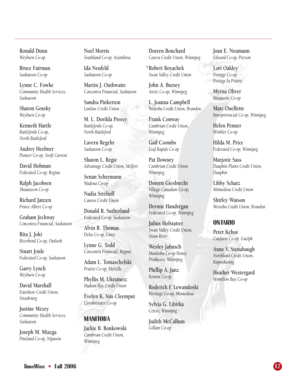**Ronald Dunn** *Weyburn Co-op*

**Bruce Fairman** *Saskatoon Co-op*

**Lynne C. Fowke** *Community Health Services, Saskatoon*

**Sharon Gossky** *Weyburn Co-op*

**Kenneth Hartle** *Battlefords Co-op, North Battleford*

**Audrey Heebner** *Pioneer Co-op, Swift Current*

**David Hobman** *Federated Co-op, Regina*

**Ralph Jacobsen** *Shaunavon Co-op*

**Richard Janzen** *Prince Albert Co-op*

**Graham Jeckway** *Concentra Financial, Saskatoon*

**Rita J. Joki** *Riverbend Co-op, Outlook*

**Stuart Joule** *Federated Co-op, Saskatoon*

**Garry Lynch** *Weyburn Co-op*

**David Marshall** *Eastshore Credit Union, Strasbourg*

**Justine Mezey** *Community Health Services, Saskatoon*

**Joseph M. Miazga** *Pineland Co-op, Nipawin* **Noel Morris** *Southland Co-op, Assiniboia*

**Ida Neufeld** *Saskatoon Co-op*

**Martin J. Outhwaite** *Concentra Financial, Saskatoon*

**Sandra Pinkerton** *Lintlaw Credit Union*

**M. L. Dorilda Preece** *Battlefords Co-op, North Battleford*

**Lavern Regehr** *Saskatoon Co-op*

**Sharon L. Regie** *Advantage Credit Union, Melfort*

**Senan Schermann** *Wadena Co-op*

**Nadia Strelioff** *Canora Credit Union*

**Donald R. Sutherland** *Federated Co-op, Saskatoon*

**Alvin R. Thomas** *Delta Co-op, Unity*

**Lynne G. Todd** *Concentra Financial, Regina*

**Adam L. Tomaschefski** *Prairie Co-op, Melville*

**Phyllis M. Ukrainetz** *Hudson Bay Credit Union*

**Evelyn K. Van Cleemput** *Lloydminster Co-op*

# **MANITOBA**

**Jackie B. Bonkowski** *Cambrian Credit Union, Winnipeg*

**Doreen Bouchard** *Casera Credit Union, Winnipeg*

**Robert Boyachek \****Swan Valley Credit Union*

**John A. Bursey** *Arctic Co-op, Winnipeg*

**L. Joanna Campbell** *Westoba Credit Union, Brandon*

**Frank Conway** *Cambrian Credit Union, Winnipeg*

**Gail Coombs** *Leaf Rapids Co-op*

**Pat Downey** *Cambrian Credit Union, Winnipeg*

**Doreen Giesbrecht** *Village Canadian Co-op, Winnipeg*

**Dermie Handregan** *Federated Co-op, Winnipeg*

**Julius Hofstatter** *Swan Valley Credit Union, Swan River*

**Wesley Jabusch** *Manitoba Co-op Honey Producers, Winnipeg*

**Phillip A. Janz** *Kenton Co-op*

**Roderick F. Lewandoski** *Heritage Co-op, Minnedosa*

**Sylvia G. Libitka** *Celero, Winnipeg*

**Judith McCallum** *Gillam Co-op*

**Joan E. Neumann** *Edward Co-op, Pierson*

**Lori Oakley** *Portage Co-op, Portage la Prairie*

**Myrna Oliver** *Marquette Co-op*

**Marc Ouellette** *Interprovincial Co-op, Winnipeg*

**Helen Penner** *Winkler Co-op*

**Hilda M. Price** *Federated Co-op, Winnipeg*

**Marjorie Sass** *Dauphin Plains Credit Union, Dauphin*

**Libby Schatz** *Minnedosa Credit Union*

**Shirley Watson** *Westoba Credit Union, Brandon*

# **ONTARIO**

**Peter Kehoe** *Canfarm Co-op, Guelph*

**Anne V. Stenabaugh** *Northland Credit Union, Kapuskasing*

**Heather Westergard** *Vermilion Bay Co-op*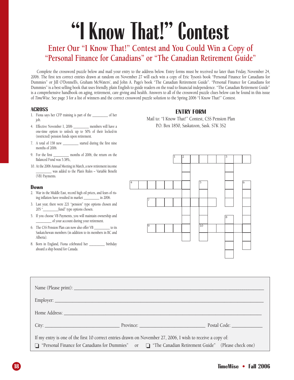# **"I Know That!" Contest**

# **Enter Our "I Know That!" Contest and You Could Win a Copy of "Personal Finance for Canadians" or "The Canadian Retirement Guide"**

Complete the crossword puzzle below and mail your entry to the address below. Entry forms must be received no later than Friday, November 24, 2006. The first ten correct entries drawn at random on November 27 will each win a copy of Eric Tyson's book "Personal Finance for Canadians for Dummies" or Jill O'Donnell's, Graham McWaters', and John A. Page's book "The Canadian Retirement Guide". "Personal Finance for Canadians for Dummies" is a best selling book that uses friendly, plain English to guide readers on the road to financial independence. "The Canadian Retirement Guide" is a comprehensive handbook on aging, retirement, care giving and health. Answers to all of the crossword puzzle clues below can be found in this issue of *TimeWise*. See page 3 for a list of winners and the correct crossword puzzle solution to the Spring 2006 "I Know That!" Contest.

#### **ACROSS**

- 1. Fiona says her CFP training is part of the \_\_\_\_\_\_\_\_\_\_ of her job.
- 4. Effective November 1, 2006 \_\_\_\_\_\_\_\_\_\_ members will have a one-time option to unlock up to 50% of their locked-in (restricted) pension funds upon retirement.
- 7. A total of 158 new \_\_\_\_\_\_\_\_\_\_ started during the first nine months of 2006.
- 9. For the first \_\_\_\_\_\_\_\_\_\_\_ months of 2006, the return on the Balanced Fund was 5.38%,
- 10. At the 2006 Annual Meeting in March, a new retirement income \_\_\_\_\_\_\_\_\_\_ was added to the Plan's Rules – Variable Benefit (VB) Payments.

#### **Down**

- 2. War in the Middle East, record high oil prices, and fears of rising inflation have resulted in market \_\_\_\_\_\_\_\_\_\_ in 2006.
- 3. Last year, there were 221 "pension" type options chosen and 205 "\_\_\_\_\_\_\_\_\_\_fund" type options chosen.
- 5. If you choose VB Payments, you will maintain ownership and \_\_\_\_\_\_\_\_\_\_ of your account during your retirement.
- 6. The CSS Pension Plan can now also offer VB \_\_\_\_\_\_\_\_\_\_ to its Saskatchewan members (in addition to its members in BC and Alberta).
- 8. Born in England, Fiona celebrated her \_\_\_\_\_\_\_\_\_\_ birthday aboard a ship bound for Canada.

#### **ENTRY FORM**

Mail to: "I Know That!" Contest, CSS Pension Plan P.O. Box 1850, Saskatoon, Sask. S7K 3S2



|                                                                                                                                                                                                                       | City: City: City: City: City: City: City: City: City: City: City: City: City: City: City: City: City: City: City: City: City: City: City: City: City: City: City: City: City: City: City: City: City: City: City: City: City: |  |
|-----------------------------------------------------------------------------------------------------------------------------------------------------------------------------------------------------------------------|-------------------------------------------------------------------------------------------------------------------------------------------------------------------------------------------------------------------------------|--|
| If my entry is one of the first 10 correct entries drawn on November 27, 2006, I wish to receive a copy of:<br>□ "Personal Finance for Canadians for Dummies" or □ "The Canadian Retirement Guide" (Please check one) |                                                                                                                                                                                                                               |  |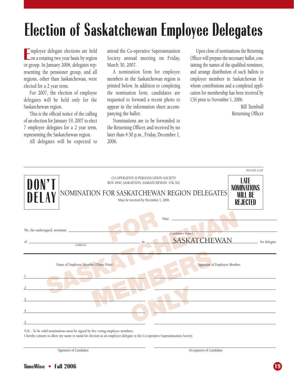# **Election of Saskatchewan Employee Delegates**

**E** mployee delegate elections are held  $\Box$  on a rotating two year basis by region or group. In January 2006, delegates representing the pensioner group, and all regions, other than Saskatchewan, were elected for a 2 year term.

For 2007, the election of employee delegates will be held only for the Saskatchewan region.

This is the official notice of the calling of an election for January 19, 2007 to elect 7 employee delegates for a 2 year term, representing the Saskatchewan region.

All delegates will be expected to

attend the Co-operative Superannuation Society annual meeting on Friday, March 30, 2007.

A nomination form for employee members in the Saskatchewan region is printed below. In addition to completing the nomination form, candidates are requested to forward a recent photo to appear in the information sheet accompanying the ballot.

Nominations are to be forwarded to the Returning Officer, and received by no later than 4:30 p.m., Friday, December 1, 2006.

Upon close of nominations the Returning Officer will prepare the necessary ballot, containing the names of the qualified nominees, and arrange distribution of such ballots to employee members in Saskatchewan for whom contributions and a completed application for membership has been received by CSS prior to November 1, 2006.

> Bill Turnbull Returning Officer

|                                     |                                                                                                                                                                          | PLEASE CLIP                                                            |
|-------------------------------------|--------------------------------------------------------------------------------------------------------------------------------------------------------------------------|------------------------------------------------------------------------|
| DON'T<br>DELAY                      | CO-OPERATIVE SUPERANNUATION SOCIETY<br>BOX 1850, SASKATOON, SASKATCHEWAN S7K 3S2<br>NOMINATION FOR SASKATCHEWAN REGION DELEGATES<br>Must be received by December 1, 2006 | <b>LATE</b><br><b>NOMINATIONS</b><br><b>WILL BF</b><br><b>REJECTED</b> |
| We, the undersigned, nominate<br>of | Date:<br>(Candidate's Name)<br><b>SASKATCHEWAN</b><br>in<br>(Address)                                                                                                    | for delegate.                                                          |
|                                     | Name of Employee Member (Please Print)<br>Signature of Employee Member                                                                                                   |                                                                        |
|                                     |                                                                                                                                                                          |                                                                        |
| 5                                   |                                                                                                                                                                          |                                                                        |

N.B. - To be valid nominations must be signed by five voting employee members.

I hereby consent to allow my name to stand for election as an employee delegate to the Co-operative Superannuation Society.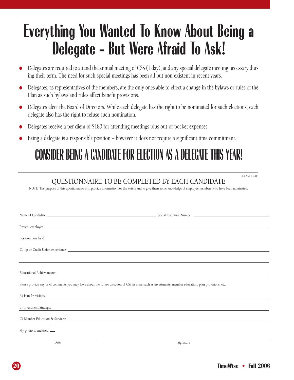# **Everything You Wanted To Know About Being a Delegate - But Were Afraid To Ask!**

- Delegates are required to attend the annual meeting of CSS (1 day), and any special delegate meeting necessary during their term. The need for such special meetings has been all but non-existent in recent years.
- Delegates, as representatives of the members, are the only ones able to effect a change in the bylaws or rules of the Plan as such bylaws and rules affect benefit provisions.
- Delegates elect the Board of Directors. While each delegate has the right to be nominated for such elections, each delegate also has the right to refuse such nomination.
- Delegates receive a per diem of \$180 for attending meetings plus out-of-pocket expenses.
- Being a delegate is a responsible position however it does not require a significant time commitment.

# **CONSIDER BEING A CANDIDATE FOR ELECTION AS A DELEGATE THIS YEAR!**

# QUESTIONNAIRE TO BE COMPLETED BY EACH CANDIDATE

NOTE: The purpose of this questionnaire is to provide information for the voters and to give them some knowledge of employee members who have been nominated.

|                                 | Please provide any brief comments you may have about the future direction of CSS in areas such as investments, member education, plan provisions, etc. |
|---------------------------------|--------------------------------------------------------------------------------------------------------------------------------------------------------|
| A) Plan Provisions:             | <u> 1986 - Johann John Stein, marwolaethau (b. 1988)</u>                                                                                               |
| B) Investment Strategy:         |                                                                                                                                                        |
| C) Member Education & Services: |                                                                                                                                                        |
| My photo is enclosed $\Box$     |                                                                                                                                                        |
| Date                            | Signature                                                                                                                                              |

PLEASE CLIP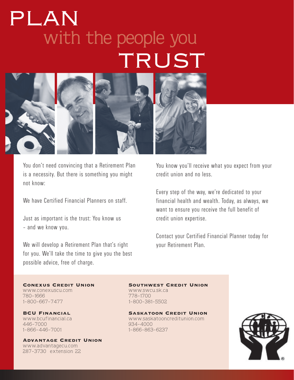# with the people you TRUST PLAN



You don't need convincing that a Retirement Plan is a necessity. But there is something you might not know:

We have Certified Financial Planners on staff.

Just as important is the trust: You know us – and we know you.

We will develop a Retirement Plan that's right for you. We'll take the time to give you the best possible advice, free of charge.

You know you'll receive what you expect from your credit union and no less.

Every step of the way, we're dedicated to your financial health and wealth. Today, as always, we want to ensure you receive the full benefit of credit union expertise.

Contact your Certified Financial Planner today for your Retirement Plan.

www.conexuscu.com www.swcu.sk.ca 780-1666 778-1700 1-800-667-7477 1-800-381-5502

446-7000 934-4000

Advantage Credit Union www.advantagecu.com 287-3730 extension 22

Conexus Credit Union Southwest Credit Union

BCU Financial Saskatoon Credit Union www.bcufinancial.ca www.saskatooncreditunion.com<br>446-7000 934-4000 934-4000 1-866-863-6237